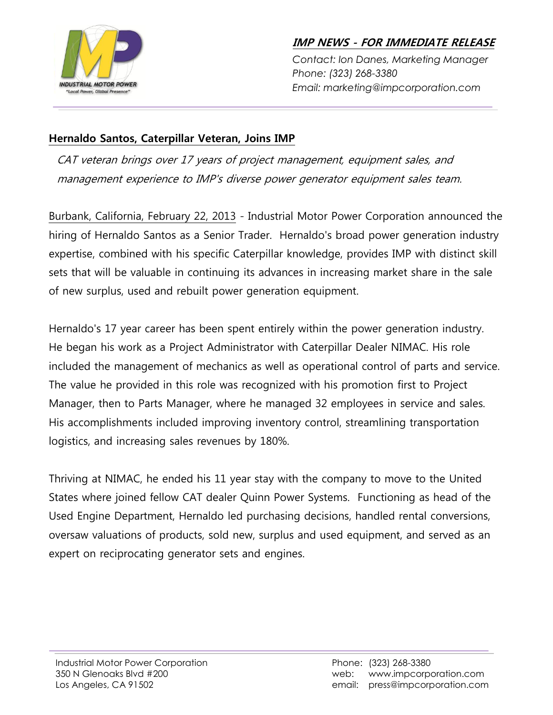

**IMP NEWS - FOR IMMEDIATE RELEASE**

*Contact: Ion Danes, Marketing Manager Phone: (323) 268-3380 Email: marketing@impcorporation.com*

## **Hernaldo Santos, Caterpillar Veteran, Joins IMP**

CAT veteran brings over 17 years of project management, equipment sales, and management experience to IMP's diverse power generator equipment sales team.

Burbank, California, February 22, 2013 - Industrial Motor Power Corporation announced the hiring of Hernaldo Santos as a Senior Trader. Hernaldo's broad power generation industry expertise, combined with his specific Caterpillar knowledge, provides IMP with distinct skill sets that will be valuable in continuing its advances in increasing market share in the sale of new surplus, used and rebuilt power generation equipment.

Hernaldo's 17 year career has been spent entirely within the power generation industry. He began his work as a Project Administrator with Caterpillar Dealer NIMAC. His role included the management of mechanics as well as operational control of parts and service. The value he provided in this role was recognized with his promotion first to Project Manager, then to Parts Manager, where he managed 32 employees in service and sales. His accomplishments included improving inventory control, streamlining transportation logistics, and increasing sales revenues by 180%.

Thriving at NIMAC, he ended his 11 year stay with the company to move to the United States where joined fellow CAT dealer Quinn Power Systems. Functioning as head of the Used Engine Department, Hernaldo led purchasing decisions, handled rental conversions, oversaw valuations of products, sold new, surplus and used equipment, and served as an expert on reciprocating generator sets and engines.